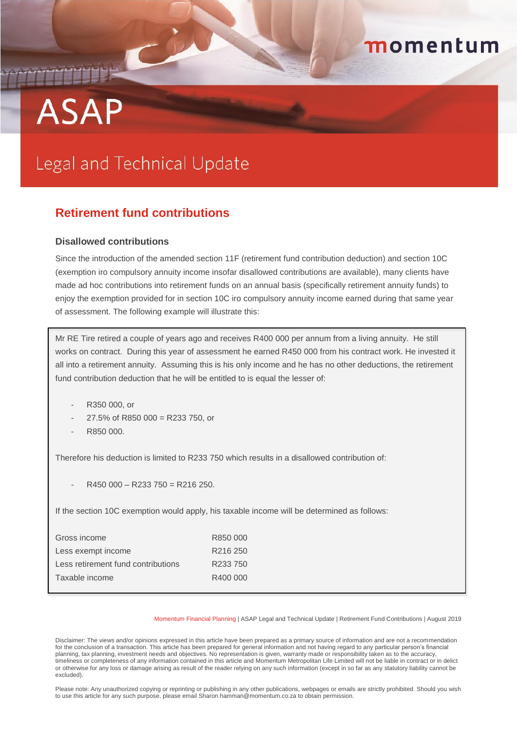# **ASAP**

# Legal and Technical Update

# **Retirement fund contributions**

# **Disallowed contributions**

Since the introduction of the amended section 11F (retirement fund contribution deduction) and section 10C (exemption iro compulsory annuity income insofar disallowed contributions are available), many clients have made ad hoc contributions into retirement funds on an annual basis (specifically retirement annuity funds) to enjoy the exemption provided for in section 10C iro compulsory annuity income earned during that same year of assessment. The following example will illustrate this:

momentum

Mr RE Tire retired a couple of years ago and receives R400 000 per annum from a living annuity. He still works on contract. During this year of assessment he earned R450 000 from his contract work. He invested it all into a retirement annuity. Assuming this is his only income and he has no other deductions, the retirement fund contribution deduction that he will be entitled to is equal the lesser of:

- R350 000, or
- 27.5% of R850 000 = R233 750, or
- R850 000.

Therefore his deduction is limited to R233 750 which results in a disallowed contribution of:

 $R450000 - R233750 = R216250.$ 

If the section 10C exemption would apply, his taxable income will be determined as follows:

| Gross income                       | R850 000             |
|------------------------------------|----------------------|
| Less exempt income                 | R <sub>216</sub> 250 |
| Less retirement fund contributions | R233 750             |
| Taxable income                     | R400 000             |
|                                    |                      |

Momentum Financial Planning | ASAP Legal and Technical Update | Retirement Fund Contributions | August 2019

Disclaimer: The views and/or opinions expressed in this article have been prepared as a primary source of information and are not a recommendation for the conclusion of a transaction. This article has been prepared for general information and not having regard to any particular person's financial planning, tax planning, investment needs and objectives. No representation is given, warranty made or responsibility taken as to the accuracy, timeliness or completeness of any information contained in this article and Momentum Metropolitan Life Limited will not be liable in contract or in delict or otherwise for any loss or damage arising as result of the reader relying on any such information (except in so far as any statutory liability cannot be excluded).

Please note: Any unauthorized copying or reprinting or publishing in any other publications, webpages or emails are strictly prohibited. Should you wish to use this article for any such purpose, please email Sharon.hamman@momentum.co.za to obtain permission.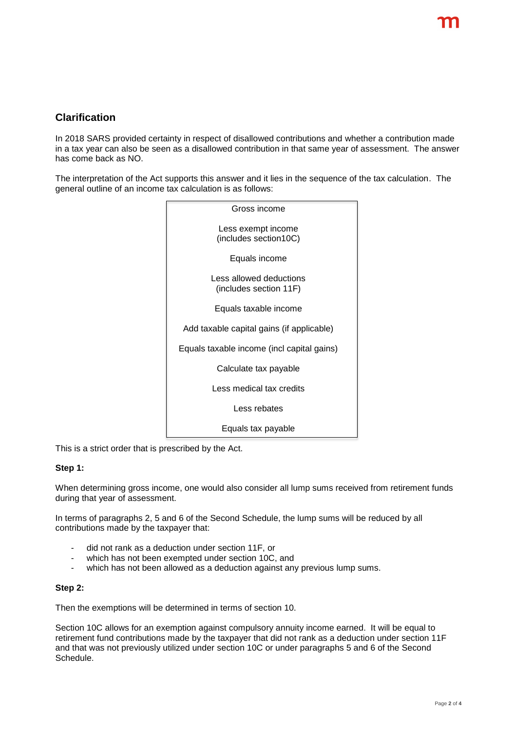# **Clarification**

In 2018 SARS provided certainty in respect of disallowed contributions and whether a contribution made in a tax year can also be seen as a disallowed contribution in that same year of assessment. The answer has come back as NO.

The interpretation of the Act supports this answer and it lies in the sequence of the tax calculation. The general outline of an income tax calculation is as follows:



This is a strict order that is prescribed by the Act.

# **Step 1:**

When determining gross income, one would also consider all lump sums received from retirement funds during that year of assessment.

In terms of paragraphs 2, 5 and 6 of the Second Schedule, the lump sums will be reduced by all contributions made by the taxpayer that:

- did not rank as a deduction under section 11F, or
- which has not been exempted under section 10C, and
- which has not been allowed as a deduction against any previous lump sums.

#### **Step 2:**

Then the exemptions will be determined in terms of section 10.

Section 10C allows for an exemption against compulsory annuity income earned. It will be equal to retirement fund contributions made by the taxpayer that did not rank as a deduction under section 11F and that was not previously utilized under section 10C or under paragraphs 5 and 6 of the Second Schedule.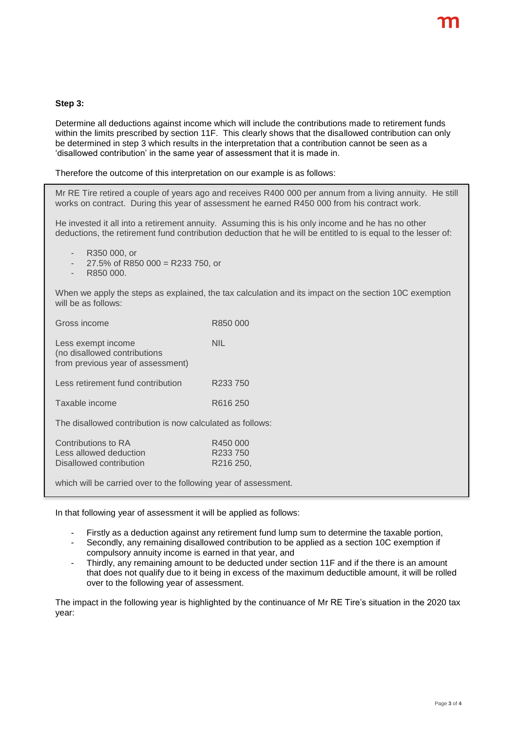### **Step 3:**

Determine all deductions against income which will include the contributions made to retirement funds within the limits prescribed by section 11F. This clearly shows that the disallowed contribution can only be determined in step 3 which results in the interpretation that a contribution cannot be seen as a 'disallowed contribution' in the same year of assessment that it is made in.

Therefore the outcome of this interpretation on our example is as follows:

Mr RE Tire retired a couple of years ago and receives R400 000 per annum from a living annuity. He still works on contract. During this year of assessment he earned R450 000 from his contract work.

He invested it all into a retirement annuity. Assuming this is his only income and he has no other deductions, the retirement fund contribution deduction that he will be entitled to is equal to the lesser of:

- R350 000, or
- $27.5\%$  of R850 000 = R233 750, or
- R850 000.

When we apply the steps as explained, the tax calculation and its impact on the section 10C exemption will be as follows:

| Gross income                                                                            | R850 000                                      |  |
|-----------------------------------------------------------------------------------------|-----------------------------------------------|--|
| Less exempt income<br>(no disallowed contributions<br>from previous year of assessment) | NIL                                           |  |
| Less retirement fund contribution                                                       | R233750                                       |  |
| Taxable income                                                                          | R616 250                                      |  |
| The disallowed contribution is now calculated as follows:                               |                                               |  |
| Contributions to RA<br>Less allowed deduction<br>Disallowed contribution                | R450 000<br>R <sub>233</sub> 750<br>R216 250. |  |

which will be carried over to the following year of assessment.

In that following year of assessment it will be applied as follows:

- Firstly as a deduction against any retirement fund lump sum to determine the taxable portion,
- Secondly, any remaining disallowed contribution to be applied as a section 10C exemption if compulsory annuity income is earned in that year, and
- Thirdly, any remaining amount to be deducted under section 11F and if the there is an amount that does not qualify due to it being in excess of the maximum deductible amount, it will be rolled over to the following year of assessment.

The impact in the following year is highlighted by the continuance of Mr RE Tire's situation in the 2020 tax year: